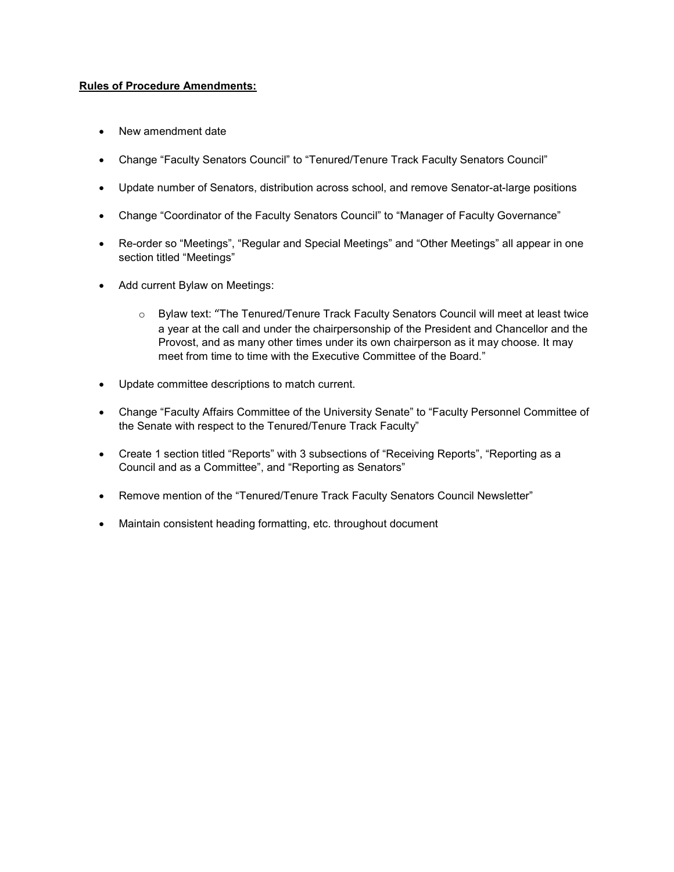### **Rules of Procedure Amendments:**

- New amendment date
- Change "Faculty Senators Council" to "Tenured/Tenure Track Faculty Senators Council"
- Update number of Senators, distribution across school, and remove Senator-at-large positions
- Change "Coordinator of the Faculty Senators Council" to "Manager of Faculty Governance"
- Re-order so "Meetings", "Regular and Special Meetings" and "Other Meetings" all appear in one section titled "Meetings"
- Add current Bylaw on Meetings:
	- o Bylaw text: "The Tenured/Tenure Track Faculty Senators Council will meet at least twice a year at the call and under the chairpersonship of the President and Chancellor and the Provost, and as many other times under its own chairperson as it may choose. It may meet from time to time with the Executive Committee of the Board."
- Update committee descriptions to match current.
- Change "Faculty Affairs Committee of the University Senate" to "Faculty Personnel Committee of the Senate with respect to the Tenured/Tenure Track Faculty"
- Create 1 section titled "Reports" with 3 subsections of "Receiving Reports", "Reporting as a Council and as a Committee", and "Reporting as Senators"
- Remove mention of the "Tenured/Tenure Track Faculty Senators Council Newsletter"
- Maintain consistent heading formatting, etc. throughout document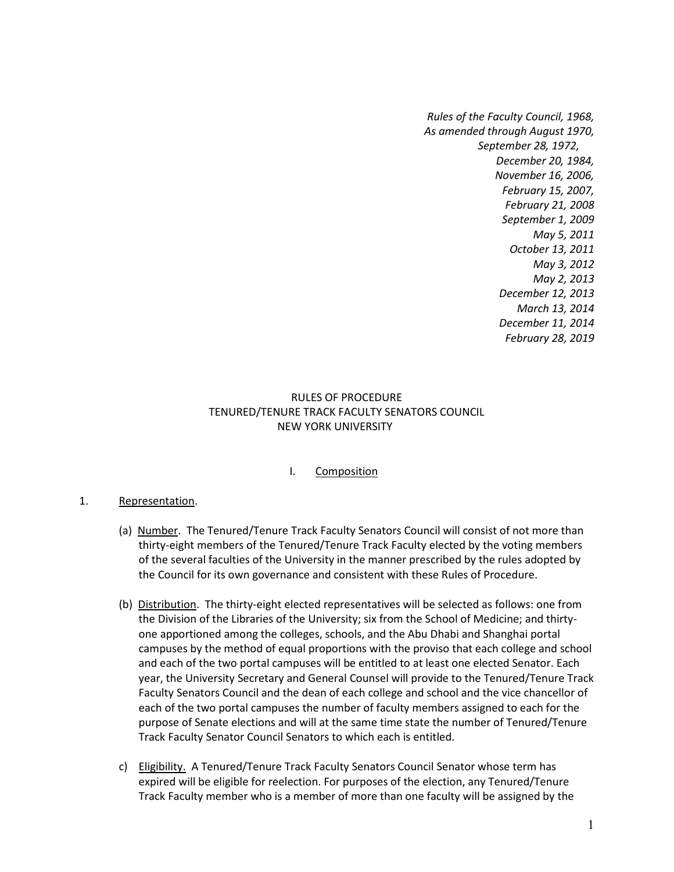*Rules of the Faculty Council, 1968, As amended through August 1970, September 28, 1972, December 20, 1984, November 16, 2006, February 15, 2007, February 21, 2008 September 1, 2009 May 5, 2011 October 13, 2011 May 3, 2012 May 2, 2013 December 12, 2013 March 13, 2014 December 11, 2014 February 28, 2019*

### RULES OF PROCEDURE TENURED/TENURE TRACK FACULTY SENATORS COUNCIL NEW YORK UNIVERSITY

## I. Composition

### 1. Representation.

- (a) Number. The Tenured/Tenure Track Faculty Senators Council will consist of not more than thirty-eight members of the Tenured/Tenure Track Faculty elected by the voting members of the several faculties of the University in the manner prescribed by the rules adopted by the Council for its own governance and consistent with these Rules of Procedure.
- (b) Distribution. The thirty-eight elected representatives will be selected as follows: one from the Division of the Libraries of the University; six from the School of Medicine; and thirtyone apportioned among the colleges, schools, and the Abu Dhabi and Shanghai portal campuses by the method of equal proportions with the proviso that each college and school and each of the two portal campuses will be entitled to at least one elected Senator. Each year, the University Secretary and General Counsel will provide to the Tenured/Tenure Track Faculty Senators Council and the dean of each college and school and the vice chancellor of each of the two portal campuses the number of faculty members assigned to each for the purpose of Senate elections and will at the same time state the number of Tenured/Tenure Track Faculty Senator Council Senators to which each is entitled.
- c) Eligibility. A Tenured/Tenure Track Faculty Senators Council Senator whose term has expired will be eligible for reelection. For purposes of the election, any Tenured/Tenure Track Faculty member who is a member of more than one faculty will be assigned by the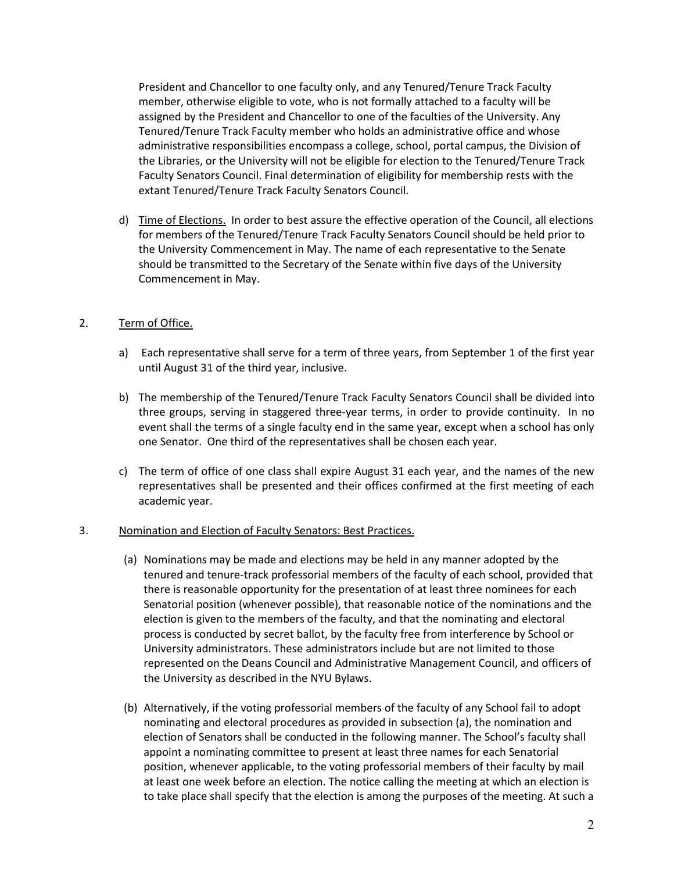President and Chancellor to one faculty only, and any Tenured/Tenure Track Faculty member, otherwise eligible to vote, who is not formally attached to a faculty will be assigned by the President and Chancellor to one of the faculties of the University. Any Tenured/Tenure Track Faculty member who holds an administrative office and whose administrative responsibilities encompass a college, school, portal campus, the Division of the Libraries, or the University will not be eligible for election to the Tenured/Tenure Track Faculty Senators Council. Final determination of eligibility for membership rests with the extant Tenured/Tenure Track Faculty Senators Council.

d) Time of Elections. In order to best assure the effective operation of the Council, all elections for members of the Tenured/Tenure Track Faculty Senators Council should be held prior to the University Commencement in May. The name of each representative to the Senate should be transmitted to the Secretary of the Senate within five days of the University Commencement in May.

## 2. Term of Office.

- a) Each representative shall serve for a term of three years, from September 1 of the first year until August 31 of the third year, inclusive.
- b) The membership of the Tenured/Tenure Track Faculty Senators Council shall be divided into three groups, serving in staggered three-year terms, in order to provide continuity. In no event shall the terms of a single faculty end in the same year, except when a school has only one Senator. One third of the representatives shall be chosen each year.
- c) The term of office of one class shall expire August 31 each year, and the names of the new representatives shall be presented and their offices confirmed at the first meeting of each academic year.

### 3. Nomination and Election of Faculty Senators: Best Practices.

- (a) Nominations may be made and elections may be held in any manner adopted by the tenured and tenure-track professorial members of the faculty of each school, provided that there is reasonable opportunity for the presentation of at least three nominees for each Senatorial position (whenever possible), that reasonable notice of the nominations and the election is given to the members of the faculty, and that the nominating and electoral process is conducted by secret ballot, by the faculty free from interference by School or University administrators. These administrators include but are not limited to those represented on the Deans Council and Administrative Management Council, and officers of the University as described in the NYU Bylaws.
- (b) Alternatively, if the voting professorial members of the faculty of any School fail to adopt nominating and electoral procedures as provided in subsection (a), the nomination and election of Senators shall be conducted in the following manner. The School's faculty shall appoint a nominating committee to present at least three names for each Senatorial position, whenever applicable, to the voting professorial members of their faculty by mail at least one week before an election. The notice calling the meeting at which an election is to take place shall specify that the election is among the purposes of the meeting. At such a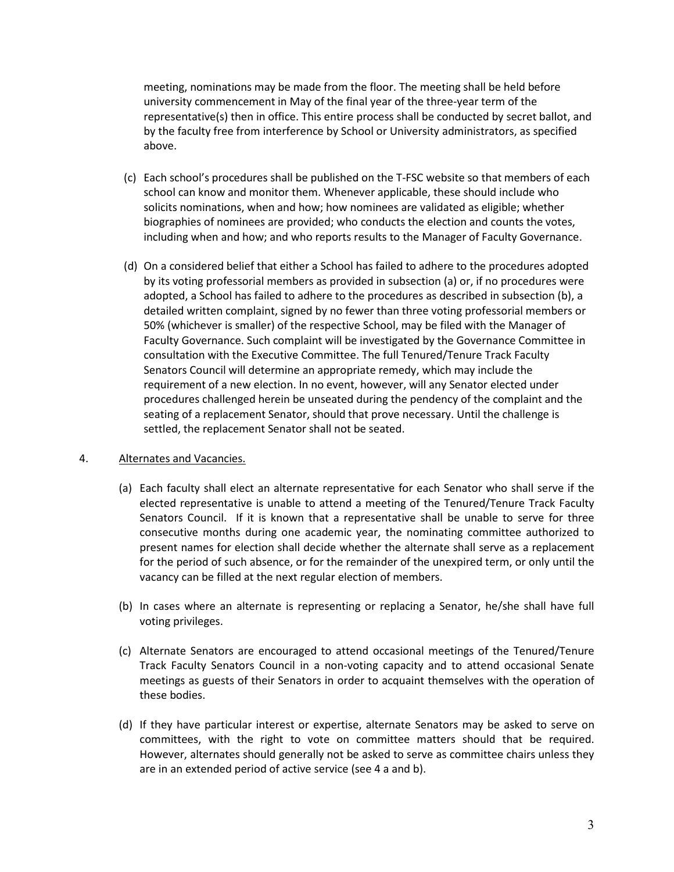meeting, nominations may be made from the floor. The meeting shall be held before university commencement in May of the final year of the three-year term of the representative(s) then in office. This entire process shall be conducted by secret ballot, and by the faculty free from interference by School or University administrators, as specified above.

- (c) Each school's procedures shall be published on the T-FSC website so that members of each school can know and monitor them. Whenever applicable, these should include who solicits nominations, when and how; how nominees are validated as eligible; whether biographies of nominees are provided; who conducts the election and counts the votes, including when and how; and who reports results to the Manager of Faculty Governance.
- (d) On a considered belief that either a School has failed to adhere to the procedures adopted by its voting professorial members as provided in subsection (a) or, if no procedures were adopted, a School has failed to adhere to the procedures as described in subsection (b), a detailed written complaint, signed by no fewer than three voting professorial members or 50% (whichever is smaller) of the respective School, may be filed with the Manager of Faculty Governance. Such complaint will be investigated by the Governance Committee in consultation with the Executive Committee. The full Tenured/Tenure Track Faculty Senators Council will determine an appropriate remedy, which may include the requirement of a new election. In no event, however, will any Senator elected under procedures challenged herein be unseated during the pendency of the complaint and the seating of a replacement Senator, should that prove necessary. Until the challenge is settled, the replacement Senator shall not be seated.

### 4. Alternates and Vacancies.

- (a) Each faculty shall elect an alternate representative for each Senator who shall serve if the elected representative is unable to attend a meeting of the Tenured/Tenure Track Faculty Senators Council. If it is known that a representative shall be unable to serve for three consecutive months during one academic year, the nominating committee authorized to present names for election shall decide whether the alternate shall serve as a replacement for the period of such absence, or for the remainder of the unexpired term, or only until the vacancy can be filled at the next regular election of members.
- (b) In cases where an alternate is representing or replacing a Senator, he/she shall have full voting privileges.
- (c) Alternate Senators are encouraged to attend occasional meetings of the Tenured/Tenure Track Faculty Senators Council in a non-voting capacity and to attend occasional Senate meetings as guests of their Senators in order to acquaint themselves with the operation of these bodies.
- (d) If they have particular interest or expertise, alternate Senators may be asked to serve on committees, with the right to vote on committee matters should that be required. However, alternates should generally not be asked to serve as committee chairs unless they are in an extended period of active service (see 4 a and b).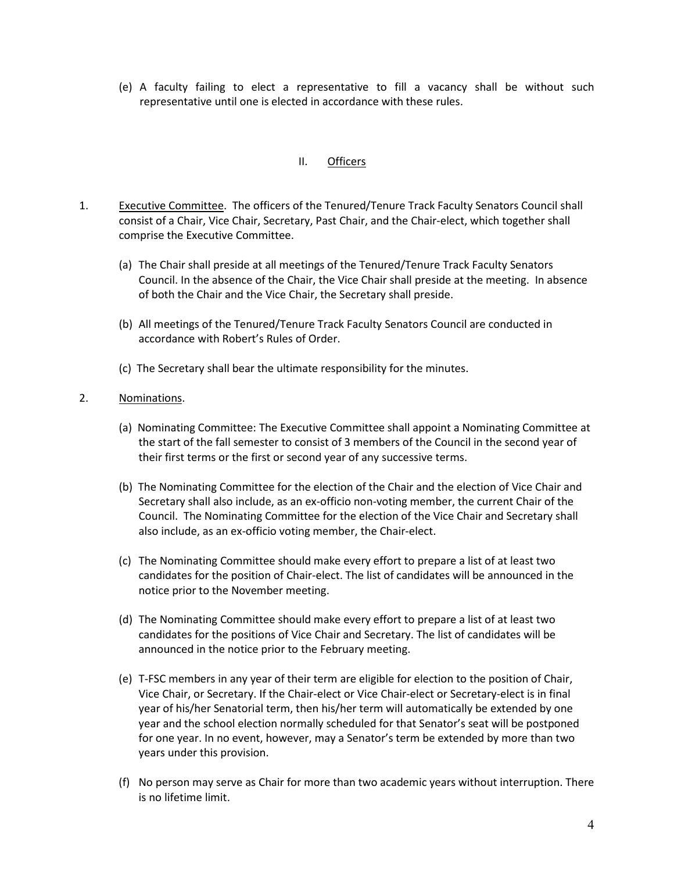(e) A faculty failing to elect a representative to fill a vacancy shall be without such representative until one is elected in accordance with these rules.

## II. Officers

- 1. Executive Committee. The officers of the Tenured/Tenure Track Faculty Senators Council shall consist of a Chair, Vice Chair, Secretary, Past Chair, and the Chair-elect, which together shall comprise the Executive Committee.
	- (a) The Chair shall preside at all meetings of the Tenured/Tenure Track Faculty Senators Council. In the absence of the Chair, the Vice Chair shall preside at the meeting. In absence of both the Chair and the Vice Chair, the Secretary shall preside.
	- (b) All meetings of the Tenured/Tenure Track Faculty Senators Council are conducted in accordance with Robert's Rules of Order.
	- (c) The Secretary shall bear the ultimate responsibility for the minutes.

### 2. Nominations.

- (a) Nominating Committee: The Executive Committee shall appoint a Nominating Committee at the start of the fall semester to consist of 3 members of the Council in the second year of their first terms or the first or second year of any successive terms.
- (b) The Nominating Committee for the election of the Chair and the election of Vice Chair and Secretary shall also include, as an ex-officio non-voting member, the current Chair of the Council. The Nominating Committee for the election of the Vice Chair and Secretary shall also include, as an ex-officio voting member, the Chair-elect.
- (c) The Nominating Committee should make every effort to prepare a list of at least two candidates for the position of Chair-elect. The list of candidates will be announced in the notice prior to the November meeting.
- (d) The Nominating Committee should make every effort to prepare a list of at least two candidates for the positions of Vice Chair and Secretary. The list of candidates will be announced in the notice prior to the February meeting.
- (e) T-FSC members in any year of their term are eligible for election to the position of Chair, Vice Chair, or Secretary. If the Chair-elect or Vice Chair-elect or Secretary-elect is in final year of his/her Senatorial term, then his/her term will automatically be extended by one year and the school election normally scheduled for that Senator's seat will be postponed for one year. In no event, however, may a Senator's term be extended by more than two years under this provision.
- (f) No person may serve as Chair for more than two academic years without interruption. There is no lifetime limit.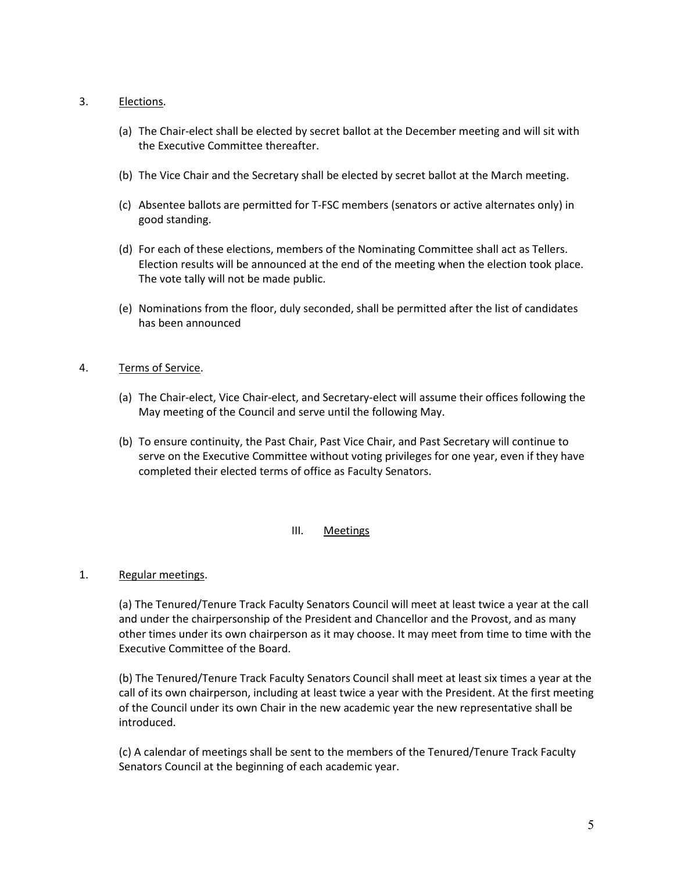### 3. Elections.

- (a) The Chair-elect shall be elected by secret ballot at the December meeting and will sit with the Executive Committee thereafter.
- (b) The Vice Chair and the Secretary shall be elected by secret ballot at the March meeting.
- (c) Absentee ballots are permitted for T-FSC members (senators or active alternates only) in good standing.
- (d) For each of these elections, members of the Nominating Committee shall act as Tellers. Election results will be announced at the end of the meeting when the election took place. The vote tally will not be made public.
- (e) Nominations from the floor, duly seconded, shall be permitted after the list of candidates has been announced

## 4. Terms of Service.

- (a) The Chair-elect, Vice Chair-elect, and Secretary-elect will assume their offices following the May meeting of the Council and serve until the following May.
- (b) To ensure continuity, the Past Chair, Past Vice Chair, and Past Secretary will continue to serve on the Executive Committee without voting privileges for one year, even if they have completed their elected terms of office as Faculty Senators.

## III. Meetings

## 1. Regular meetings.

(a) The Tenured/Tenure Track Faculty Senators Council will meet at least twice a year at the call and under the chairpersonship of the President and Chancellor and the Provost, and as many other times under its own chairperson as it may choose. It may meet from time to time with the Executive Committee of the Board.

(b) The Tenured/Tenure Track Faculty Senators Council shall meet at least six times a year at the call of its own chairperson, including at least twice a year with the President. At the first meeting of the Council under its own Chair in the new academic year the new representative shall be introduced.

(c) A calendar of meetings shall be sent to the members of the Tenured/Tenure Track Faculty Senators Council at the beginning of each academic year.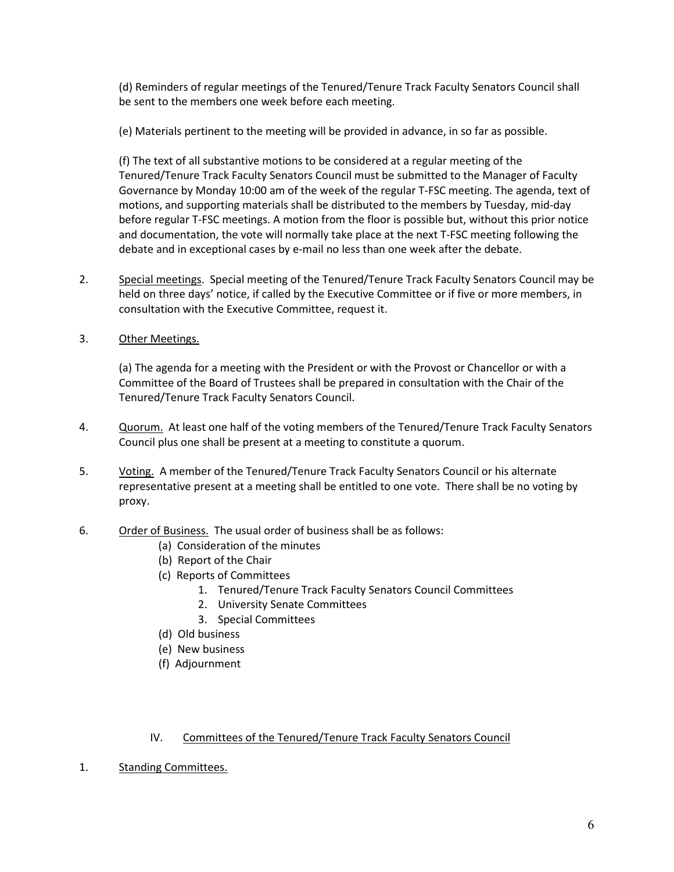(d) Reminders of regular meetings of the Tenured/Tenure Track Faculty Senators Council shall be sent to the members one week before each meeting.

(e) Materials pertinent to the meeting will be provided in advance, in so far as possible.

(f) The text of all substantive motions to be considered at a regular meeting of the Tenured/Tenure Track Faculty Senators Council must be submitted to the Manager of Faculty Governance by Monday 10:00 am of the week of the regular T-FSC meeting. The agenda, text of motions, and supporting materials shall be distributed to the members by Tuesday, mid-day before regular T-FSC meetings. A motion from the floor is possible but, without this prior notice and documentation, the vote will normally take place at the next T-FSC meeting following the debate and in exceptional cases by e-mail no less than one week after the debate.

- 2. Special meetings. Special meeting of the Tenured/Tenure Track Faculty Senators Council may be held on three days' notice, if called by the Executive Committee or if five or more members, in consultation with the Executive Committee, request it.
- 3. Other Meetings.

(a) The agenda for a meeting with the President or with the Provost or Chancellor or with a Committee of the Board of Trustees shall be prepared in consultation with the Chair of the Tenured/Tenure Track Faculty Senators Council.

- 4. Quorum. At least one half of the voting members of the Tenured/Tenure Track Faculty Senators Council plus one shall be present at a meeting to constitute a quorum.
- 5. Voting. A member of the Tenured/Tenure Track Faculty Senators Council or his alternate representative present at a meeting shall be entitled to one vote. There shall be no voting by proxy.
- 6. Order of Business. The usual order of business shall be as follows:
	- (a) Consideration of the minutes
	- (b) Report of the Chair
	- (c) Reports of Committees
		- 1. Tenured/Tenure Track Faculty Senators Council Committees
		- 2. University Senate Committees
		- 3. Special Committees
	- (d) Old business
	- (e) New business
	- (f) Adjournment

### IV. Committees of the Tenured/Tenure Track Faculty Senators Council

1. Standing Committees.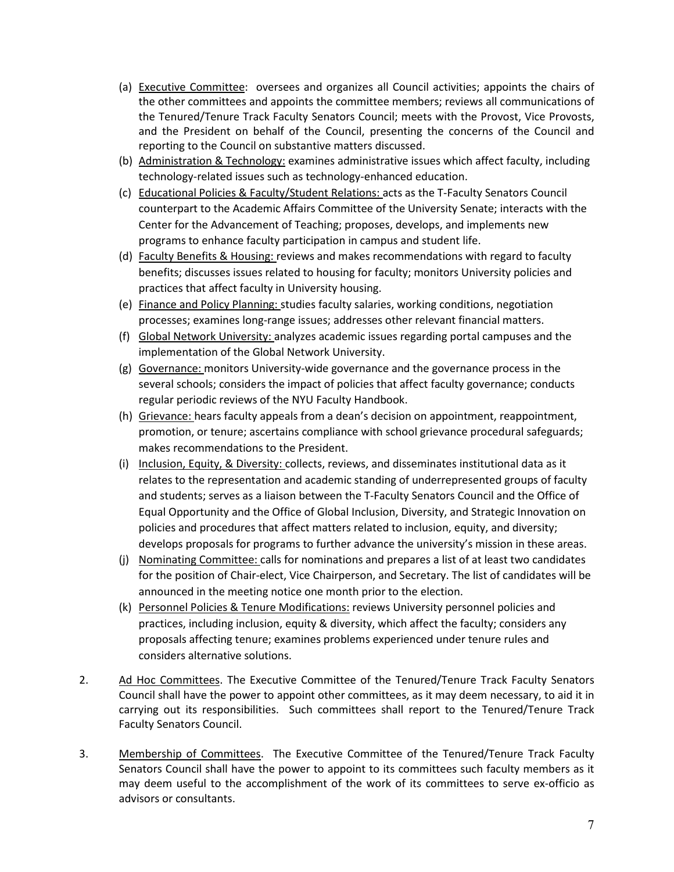- (a) Executive Committee: oversees and organizes all Council activities; appoints the chairs of the other committees and appoints the committee members; reviews all communications of the Tenured/Tenure Track Faculty Senators Council; meets with the Provost, Vice Provosts, and the President on behalf of the Council, presenting the concerns of the Council and reporting to the Council on substantive matters discussed.
- (b) Administration & Technology: examines administrative issues which affect faculty, including technology-related issues such as technology-enhanced education.
- (c) Educational Policies & Faculty/Student Relations: acts as the T-Faculty Senators Council counterpart to the Academic Affairs Committee of the University Senate; interacts with the Center for the Advancement of Teaching; proposes, develops, and implements new programs to enhance faculty participation in campus and student life.
- (d) Faculty Benefits & Housing: reviews and makes recommendations with regard to faculty benefits; discusses issues related to housing for faculty; monitors University policies and practices that affect faculty in University housing.
- (e) Finance and Policy Planning: studies faculty salaries, working conditions, negotiation processes; examines long-range issues; addresses other relevant financial matters.
- (f) Global Network University: analyzes academic issues regarding portal campuses and the implementation of the Global Network University.
- (g) Governance: monitors University-wide governance and the governance process in the several schools; considers the impact of policies that affect faculty governance; conducts regular periodic reviews of the NYU Faculty Handbook.
- (h) Grievance: hears faculty appeals from a dean's decision on appointment, reappointment, promotion, or tenure; ascertains compliance with school grievance procedural safeguards; makes recommendations to the President.
- (i) Inclusion, Equity, & Diversity: collects, reviews, and disseminates institutional data as it relates to the representation and academic standing of underrepresented groups of faculty and students; serves as a liaison between the T-Faculty Senators Council and the Office of Equal Opportunity and the Office of Global Inclusion, Diversity, and Strategic Innovation on policies and procedures that affect matters related to inclusion, equity, and diversity; develops proposals for programs to further advance the university's mission in these areas.
- (j) Nominating Committee: calls for nominations and prepares a list of at least two candidates for the position of Chair-elect, Vice Chairperson, and Secretary. The list of candidates will be announced in the meeting notice one month prior to the election.
- (k) Personnel Policies & Tenure Modifications: reviews University personnel policies and practices, including inclusion, equity & diversity, which affect the faculty; considers any proposals affecting tenure; examines problems experienced under tenure rules and considers alternative solutions.
- 2. Ad Hoc Committees. The Executive Committee of the Tenured/Tenure Track Faculty Senators Council shall have the power to appoint other committees, as it may deem necessary, to aid it in carrying out its responsibilities. Such committees shall report to the Tenured/Tenure Track Faculty Senators Council.
- 3. Membership of Committees. The Executive Committee of the Tenured/Tenure Track Faculty Senators Council shall have the power to appoint to its committees such faculty members as it may deem useful to the accomplishment of the work of its committees to serve ex-officio as advisors or consultants.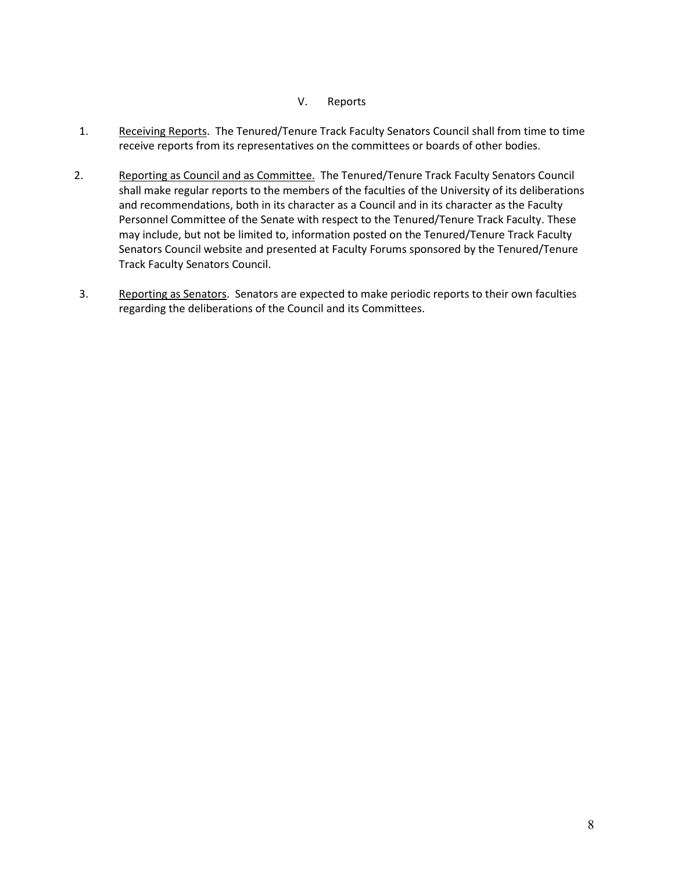### V. Reports

- 1. Receiving Reports. The Tenured/Tenure Track Faculty Senators Council shall from time to time receive reports from its representatives on the committees or boards of other bodies.
- 2. Reporting as Council and as Committee. The Tenured/Tenure Track Faculty Senators Council shall make regular reports to the members of the faculties of the University of its deliberations and recommendations, both in its character as a Council and in its character as the Faculty Personnel Committee of the Senate with respect to the Tenured/Tenure Track Faculty. These may include, but not be limited to, information posted on the Tenured/Tenure Track Faculty Senators Council website and presented at Faculty Forums sponsored by the Tenured/Tenure Track Faculty Senators Council.
- 3. Reporting as Senators. Senators are expected to make periodic reports to their own faculties regarding the deliberations of the Council and its Committees.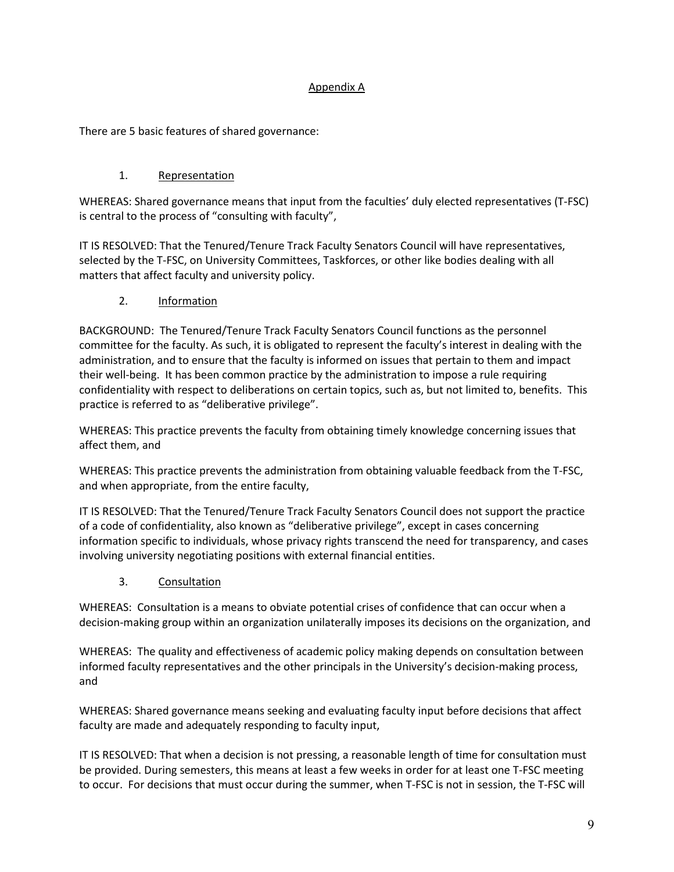## Appendix A

There are 5 basic features of shared governance:

## 1. Representation

WHEREAS: Shared governance means that input from the faculties' duly elected representatives (T-FSC) is central to the process of "consulting with faculty",

IT IS RESOLVED: That the Tenured/Tenure Track Faculty Senators Council will have representatives, selected by the T-FSC, on University Committees, Taskforces, or other like bodies dealing with all matters that affect faculty and university policy.

2. Information

BACKGROUND: The Tenured/Tenure Track Faculty Senators Council functions as the personnel committee for the faculty. As such, it is obligated to represent the faculty's interest in dealing with the administration, and to ensure that the faculty is informed on issues that pertain to them and impact their well-being. It has been common practice by the administration to impose a rule requiring confidentiality with respect to deliberations on certain topics, such as, but not limited to, benefits. This practice is referred to as "deliberative privilege".

WHEREAS: This practice prevents the faculty from obtaining timely knowledge concerning issues that affect them, and

WHEREAS: This practice prevents the administration from obtaining valuable feedback from the T-FSC, and when appropriate, from the entire faculty,

IT IS RESOLVED: That the Tenured/Tenure Track Faculty Senators Council does not support the practice of a code of confidentiality, also known as "deliberative privilege", except in cases concerning information specific to individuals, whose privacy rights transcend the need for transparency, and cases involving university negotiating positions with external financial entities.

3. Consultation

WHEREAS: Consultation is a means to obviate potential crises of confidence that can occur when a decision-making group within an organization unilaterally imposes its decisions on the organization, and

WHEREAS: The quality and effectiveness of academic policy making depends on consultation between informed faculty representatives and the other principals in the University's decision-making process, and

WHEREAS: Shared governance means seeking and evaluating faculty input before decisions that affect faculty are made and adequately responding to faculty input,

IT IS RESOLVED: That when a decision is not pressing, a reasonable length of time for consultation must be provided. During semesters, this means at least a few weeks in order for at least one T-FSC meeting to occur. For decisions that must occur during the summer, when T-FSC is not in session, the T-FSC will